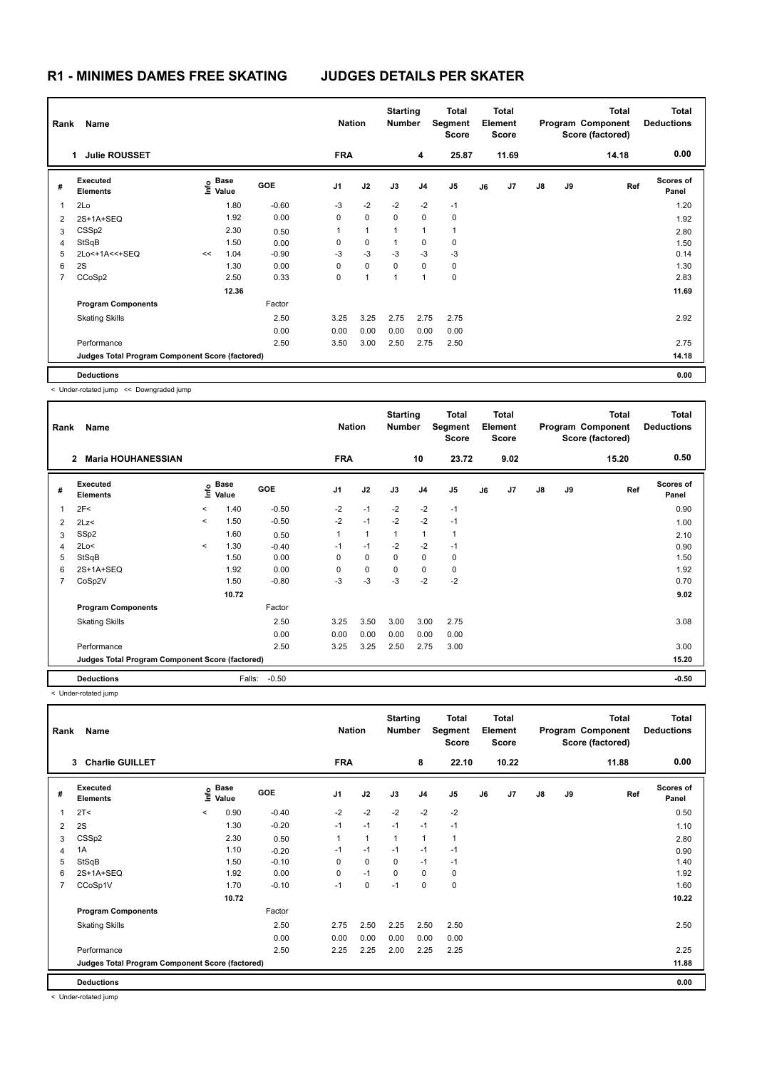| Rank                    | Name                                            |    | <b>Nation</b>     |            | <b>Starting</b><br><b>Number</b> |              | <b>Total</b><br><b>Segment</b><br><b>Score</b> |                | <b>Total</b><br>Element<br>Score |    |       | <b>Total</b><br>Program Component<br>Score (factored) | <b>Total</b><br><b>Deductions</b> |       |                           |
|-------------------------|-------------------------------------------------|----|-------------------|------------|----------------------------------|--------------|------------------------------------------------|----------------|----------------------------------|----|-------|-------------------------------------------------------|-----------------------------------|-------|---------------------------|
|                         | <b>Julie ROUSSET</b><br>1                       |    |                   |            | <b>FRA</b>                       |              |                                                | 4              | 25.87                            |    | 11.69 |                                                       |                                   | 14.18 | 0.00                      |
| #                       | Executed<br><b>Elements</b>                     |    | e Base<br>⊆ Value | <b>GOE</b> | J <sub>1</sub>                   | J2           | J3                                             | J <sub>4</sub> | J5                               | J6 | J7    | $\mathsf{J}8$                                         | J9                                | Ref   | <b>Scores of</b><br>Panel |
| $\overline{\mathbf{1}}$ | 2Lo                                             |    | 1.80              | $-0.60$    | $-3$                             | $-2$         | $-2$                                           | $-2$           | $-1$                             |    |       |                                                       |                                   |       | 1.20                      |
| 2                       | 2S+1A+SEQ                                       |    | 1.92              | 0.00       | 0                                | $\mathbf 0$  | $\Omega$                                       | 0              | 0                                |    |       |                                                       |                                   |       | 1.92                      |
| 3                       | CSS <sub>p2</sub>                               |    | 2.30              | 0.50       | 1                                | $\mathbf{1}$ | 1                                              | 1              | $\mathbf{1}$                     |    |       |                                                       |                                   |       | 2.80                      |
| $\overline{4}$          | StSqB                                           |    | 1.50              | 0.00       | 0                                | $\mathbf 0$  | 1                                              | 0              | 0                                |    |       |                                                       |                                   |       | 1.50                      |
| 5                       | 2Lo<+1A<<+SEQ                                   | << | 1.04              | $-0.90$    | $-3$                             | $-3$         | $-3$                                           | $-3$           | $-3$                             |    |       |                                                       |                                   |       | 0.14                      |
| 6                       | 2S                                              |    | 1.30              | 0.00       | 0                                | $\mathbf 0$  | $\Omega$                                       | 0              | 0                                |    |       |                                                       |                                   |       | 1.30                      |
| 7                       | CCoSp2                                          |    | 2.50              | 0.33       | 0                                | 1            | $\overline{1}$                                 | 1              | $\mathbf 0$                      |    |       |                                                       |                                   |       | 2.83                      |
|                         |                                                 |    | 12.36             |            |                                  |              |                                                |                |                                  |    |       |                                                       |                                   |       | 11.69                     |
|                         | <b>Program Components</b>                       |    |                   | Factor     |                                  |              |                                                |                |                                  |    |       |                                                       |                                   |       |                           |
|                         | <b>Skating Skills</b>                           |    |                   | 2.50       | 3.25                             | 3.25         | 2.75                                           | 2.75           | 2.75                             |    |       |                                                       |                                   |       | 2.92                      |
|                         |                                                 |    |                   | 0.00       | 0.00                             | 0.00         | 0.00                                           | 0.00           | 0.00                             |    |       |                                                       |                                   |       |                           |
|                         | Performance                                     |    |                   | 2.50       | 3.50                             | 3.00         | 2.50                                           | 2.75           | 2.50                             |    |       |                                                       |                                   |       | 2.75                      |
|                         | Judges Total Program Component Score (factored) |    |                   |            |                                  |              |                                                |                |                                  |    |       |                                                       |                                   |       | 14.18                     |
|                         | <b>Deductions</b>                               |    |                   |            |                                  |              |                                                |                |                                  |    |       |                                                       |                                   |       | 0.00                      |

< Under-rotated jump << Downgraded jump

| Rank           | Name                                            |         | <b>Nation</b>        |            | <b>Starting</b><br><b>Number</b> |                | <b>Total</b><br>Segment<br><b>Score</b> |                | <b>Total</b><br>Element<br>Score |    |      | <b>Total</b><br>Program Component<br>Score (factored) | <b>Total</b><br><b>Deductions</b> |       |                           |
|----------------|-------------------------------------------------|---------|----------------------|------------|----------------------------------|----------------|-----------------------------------------|----------------|----------------------------------|----|------|-------------------------------------------------------|-----------------------------------|-------|---------------------------|
|                | <b>Maria HOUHANESSIAN</b><br>$\mathbf{2}$       |         |                      |            | <b>FRA</b>                       |                |                                         | 10             | 23.72                            |    | 9.02 |                                                       |                                   | 15.20 | 0.50                      |
| #              | Executed<br><b>Elements</b>                     | ۴۵      | <b>Base</b><br>Value | <b>GOE</b> | J <sub>1</sub>                   | J2             | J3                                      | J <sub>4</sub> | J <sub>5</sub>                   | J6 | J7   | $\mathsf{J}8$                                         | J9                                | Ref   | <b>Scores of</b><br>Panel |
| $\overline{1}$ | 2F<                                             | $\prec$ | 1.40                 | $-0.50$    | $-2$                             | $-1$           | $-2$                                    | $-2$           | $-1$                             |    |      |                                                       |                                   |       | 0.90                      |
| 2              | 2Lz<                                            | $\prec$ | 1.50                 | $-0.50$    | $-2$                             | $-1$           | $-2$                                    | $-2$           | $-1$                             |    |      |                                                       |                                   |       | 1.00                      |
| 3              | SSp2                                            |         | 1.60                 | 0.50       | 1                                | $\overline{1}$ |                                         | $\overline{1}$ | $\mathbf{1}$                     |    |      |                                                       |                                   |       | 2.10                      |
| 4              | 2Lo<                                            | $\prec$ | 1.30                 | $-0.40$    | $-1$                             | $-1$           | $-2$                                    | $-2$           | $-1$                             |    |      |                                                       |                                   |       | 0.90                      |
| 5              | StSqB                                           |         | 1.50                 | 0.00       | 0                                | 0              | 0                                       | $\mathbf 0$    | 0                                |    |      |                                                       |                                   |       | 1.50                      |
| 6              | 2S+1A+SEQ                                       |         | 1.92                 | 0.00       | $\Omega$                         | $\mathbf 0$    | $\Omega$                                | $\mathbf 0$    | 0                                |    |      |                                                       |                                   |       | 1.92                      |
| 7              | CoSp2V                                          |         | 1.50                 | $-0.80$    | $-3$                             | $-3$           | $-3$                                    | $-2$           | $-2$                             |    |      |                                                       |                                   |       | 0.70                      |
|                |                                                 |         | 10.72                |            |                                  |                |                                         |                |                                  |    |      |                                                       |                                   |       | 9.02                      |
|                | <b>Program Components</b>                       |         |                      | Factor     |                                  |                |                                         |                |                                  |    |      |                                                       |                                   |       |                           |
|                | <b>Skating Skills</b>                           |         |                      | 2.50       | 3.25                             | 3.50           | 3.00                                    | 3.00           | 2.75                             |    |      |                                                       |                                   |       | 3.08                      |
|                |                                                 |         |                      | 0.00       | 0.00                             | 0.00           | 0.00                                    | 0.00           | 0.00                             |    |      |                                                       |                                   |       |                           |
|                | Performance                                     |         |                      | 2.50       | 3.25                             | 3.25           | 2.50                                    | 2.75           | 3.00                             |    |      |                                                       |                                   |       | 3.00                      |
|                | Judges Total Program Component Score (factored) |         |                      |            |                                  |                |                                         |                |                                  |    |      |                                                       |                                   |       | 15.20                     |
|                | <b>Deductions</b>                               |         | Falls:               | $-0.50$    |                                  |                |                                         |                |                                  |    |      |                                                       |                                   |       | $-0.50$                   |

< Under-rotated jump

| Rank           | Name                                            |         | <b>Nation</b>                    |            | <b>Starting</b><br><b>Number</b> |                | <b>Total</b><br>Segment<br><b>Score</b> |                | <b>Total</b><br>Element<br><b>Score</b> |    |       | Total<br>Program Component<br>Score (factored) | <b>Total</b><br><b>Deductions</b> |       |                           |
|----------------|-------------------------------------------------|---------|----------------------------------|------------|----------------------------------|----------------|-----------------------------------------|----------------|-----------------------------------------|----|-------|------------------------------------------------|-----------------------------------|-------|---------------------------|
|                | 3 Charlie GUILLET                               |         |                                  |            | <b>FRA</b>                       |                |                                         | 8              | 22.10                                   |    | 10.22 |                                                |                                   | 11.88 | 0.00                      |
| #              | Executed<br><b>Elements</b>                     |         | <b>Base</b><br>e Base<br>E Value | <b>GOE</b> | J <sub>1</sub>                   | J2             | J3                                      | J <sub>4</sub> | J <sub>5</sub>                          | J6 | J7    | $\mathsf{J}8$                                  | J9                                | Ref   | <b>Scores of</b><br>Panel |
| $\mathbf{1}$   | 2T <                                            | $\prec$ | 0.90                             | $-0.40$    | $-2$                             | $-2$           | $-2$                                    | $-2$           | $-2$                                    |    |       |                                                |                                   |       | 0.50                      |
| 2              | 2S                                              |         | 1.30                             | $-0.20$    | $-1$                             | $-1$           | $-1$                                    | $-1$           | $-1$                                    |    |       |                                                |                                   |       | 1.10                      |
| 3              | CSSp2                                           |         | 2.30                             | 0.50       | 1                                | $\overline{1}$ | $\overline{1}$                          | $\overline{1}$ | 1                                       |    |       |                                                |                                   |       | 2.80                      |
| 4              | 1A                                              |         | 1.10                             | $-0.20$    | $-1$                             | $-1$           | $-1$                                    | $-1$           | $-1$                                    |    |       |                                                |                                   |       | 0.90                      |
| 5              | StSqB                                           |         | 1.50                             | $-0.10$    | 0                                | $\mathbf 0$    | 0                                       | $-1$           | $-1$                                    |    |       |                                                |                                   |       | 1.40                      |
| 6              | 2S+1A+SEQ                                       |         | 1.92                             | 0.00       | 0                                | $-1$           | $\mathbf 0$                             | $\mathbf 0$    | 0                                       |    |       |                                                |                                   |       | 1.92                      |
| $\overline{7}$ | CCoSp1V                                         |         | 1.70                             | $-0.10$    | $-1$                             | $\mathbf 0$    | $-1$                                    | $\mathbf 0$    | $\pmb{0}$                               |    |       |                                                |                                   |       | 1.60                      |
|                |                                                 |         | 10.72                            |            |                                  |                |                                         |                |                                         |    |       |                                                |                                   |       | 10.22                     |
|                | <b>Program Components</b>                       |         |                                  | Factor     |                                  |                |                                         |                |                                         |    |       |                                                |                                   |       |                           |
|                | <b>Skating Skills</b>                           |         |                                  | 2.50       | 2.75                             | 2.50           | 2.25                                    | 2.50           | 2.50                                    |    |       |                                                |                                   |       | 2.50                      |
|                |                                                 |         |                                  | 0.00       | 0.00                             | 0.00           | 0.00                                    | 0.00           | 0.00                                    |    |       |                                                |                                   |       |                           |
|                | Performance                                     |         |                                  | 2.50       | 2.25                             | 2.25           | 2.00                                    | 2.25           | 2.25                                    |    |       |                                                |                                   |       | 2.25                      |
|                | Judges Total Program Component Score (factored) |         |                                  |            |                                  |                |                                         |                |                                         |    |       |                                                |                                   |       | 11.88                     |
|                | <b>Deductions</b>                               |         |                                  |            |                                  |                |                                         |                |                                         |    |       |                                                |                                   |       | 0.00                      |

< Under-rotated jump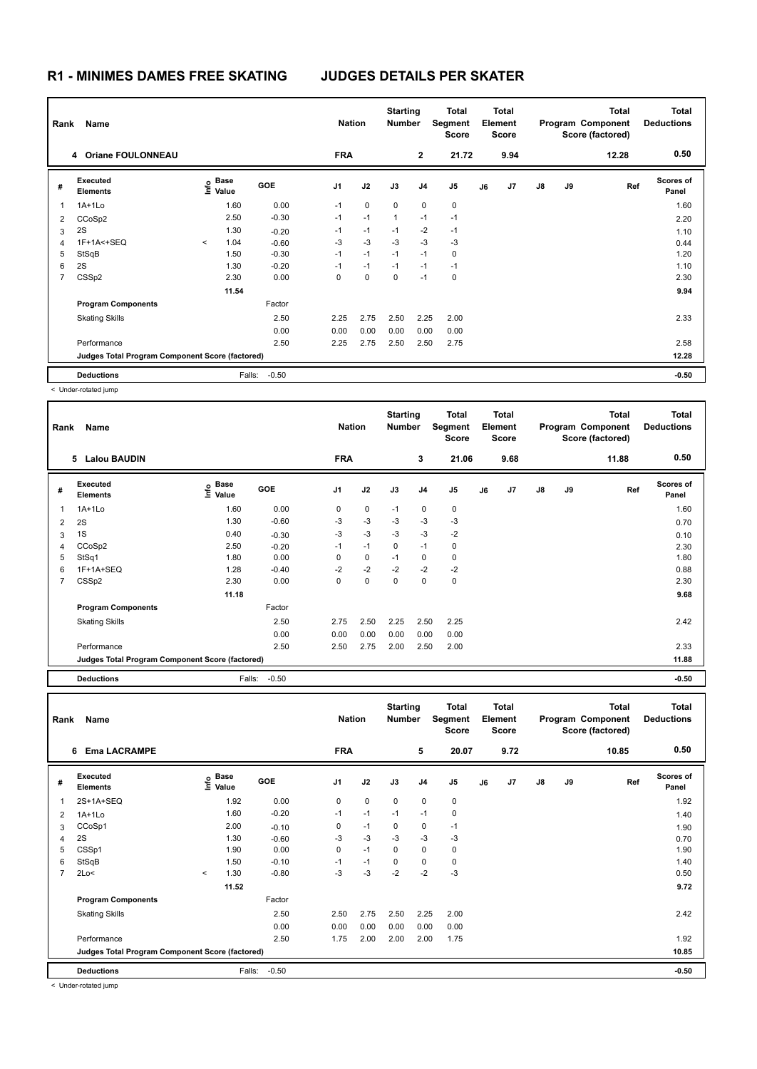| Rank | Name                                            |         | <b>Nation</b>             |            | <b>Starting</b><br><b>Number</b> |             | <b>Total</b><br><b>Segment</b><br><b>Score</b> |                | <b>Total</b><br>Element<br><b>Score</b> |    |      | <b>Total</b><br>Program Component<br>Score (factored) | <b>Total</b><br><b>Deductions</b> |       |                           |
|------|-------------------------------------------------|---------|---------------------------|------------|----------------------------------|-------------|------------------------------------------------|----------------|-----------------------------------------|----|------|-------------------------------------------------------|-----------------------------------|-------|---------------------------|
|      | 4 Oriane FOULONNEAU                             |         |                           |            | <b>FRA</b>                       |             |                                                | $\overline{2}$ | 21.72                                   |    | 9.94 |                                                       |                                   | 12.28 | 0.50                      |
| #    | Executed<br><b>Elements</b>                     |         | Base<br>e Base<br>⊆ Value | <b>GOE</b> | J1                               | J2          | J3                                             | J <sub>4</sub> | J <sub>5</sub>                          | J6 | J7   | $\mathsf{J}8$                                         | J9                                | Ref   | <b>Scores of</b><br>Panel |
| 1    | $1A+1L0$                                        |         | 1.60                      | 0.00       | $-1$                             | $\mathbf 0$ | $\mathbf 0$                                    | 0              | 0                                       |    |      |                                                       |                                   |       | 1.60                      |
| 2    | CCoSp2                                          |         | 2.50                      | $-0.30$    | $-1$                             | $-1$        | $\mathbf{1}$                                   | $-1$           | $-1$                                    |    |      |                                                       |                                   |       | 2.20                      |
| 3    | 2S                                              |         | 1.30                      | $-0.20$    | $-1$                             | $-1$        | $-1$                                           | $-2$           | $-1$                                    |    |      |                                                       |                                   |       | 1.10                      |
| 4    | 1F+1A<+SEQ                                      | $\prec$ | 1.04                      | $-0.60$    | $-3$                             | $-3$        | $-3$                                           | $-3$           | -3                                      |    |      |                                                       |                                   |       | 0.44                      |
| 5    | StSqB                                           |         | 1.50                      | $-0.30$    | $-1$                             | $-1$        | $-1$                                           | $-1$           | $\mathbf 0$                             |    |      |                                                       |                                   |       | 1.20                      |
| 6    | 2S                                              |         | 1.30                      | $-0.20$    | $-1$                             | $-1$        | $-1$                                           | $-1$           | $-1$                                    |    |      |                                                       |                                   |       | 1.10                      |
| 7    | CSSp2                                           |         | 2.30                      | 0.00       | $\Omega$                         | 0           | 0                                              | $-1$           | 0                                       |    |      |                                                       |                                   |       | 2.30                      |
|      |                                                 |         | 11.54                     |            |                                  |             |                                                |                |                                         |    |      |                                                       |                                   |       | 9.94                      |
|      | <b>Program Components</b>                       |         |                           | Factor     |                                  |             |                                                |                |                                         |    |      |                                                       |                                   |       |                           |
|      | <b>Skating Skills</b>                           |         |                           | 2.50       | 2.25                             | 2.75        | 2.50                                           | 2.25           | 2.00                                    |    |      |                                                       |                                   |       | 2.33                      |
|      |                                                 |         |                           | 0.00       | 0.00                             | 0.00        | 0.00                                           | 0.00           | 0.00                                    |    |      |                                                       |                                   |       |                           |
|      | Performance                                     |         |                           | 2.50       | 2.25                             | 2.75        | 2.50                                           | 2.50           | 2.75                                    |    |      |                                                       |                                   |       | 2.58                      |
|      | Judges Total Program Component Score (factored) |         |                           |            |                                  |             |                                                |                |                                         |    |      |                                                       |                                   |       | 12.28                     |
|      | <b>Deductions</b>                               |         | Falls:                    | $-0.50$    |                                  |             |                                                |                |                                         |    |      |                                                       |                                   |       | $-0.50$                   |

< Under-rotated jump

| Rank                     | Name                                            | <b>Nation</b>                        |         | <b>Starting</b><br><b>Number</b> |      | <b>Total</b><br>Segment<br><b>Score</b> |                | <b>Total</b><br>Element<br><b>Score</b> |    |      | <b>Total</b><br>Program Component<br>Score (factored) | <b>Total</b><br><b>Deductions</b> |       |                           |
|--------------------------|-------------------------------------------------|--------------------------------------|---------|----------------------------------|------|-----------------------------------------|----------------|-----------------------------------------|----|------|-------------------------------------------------------|-----------------------------------|-------|---------------------------|
|                          | 5 Lalou BAUDIN                                  |                                      |         | <b>FRA</b>                       |      |                                         | 3              | 21.06                                   |    | 9.68 |                                                       |                                   | 11.88 | 0.50                      |
| #                        | Executed<br><b>Elements</b>                     | Base<br>e <sup>Base</sup><br>E Value | GOE     | J <sub>1</sub>                   | J2   | J3                                      | J <sub>4</sub> | J <sub>5</sub>                          | J6 | J7   | $\mathsf{J}8$                                         | J9                                | Ref   | <b>Scores of</b><br>Panel |
| $\overline{\phantom{a}}$ | 1A+1Lo                                          | 1.60                                 | 0.00    | 0                                | 0    | $-1$                                    | 0              | 0                                       |    |      |                                                       |                                   |       | 1.60                      |
| 2                        | 2S                                              | 1.30                                 | $-0.60$ | $-3$                             | $-3$ | $-3$                                    | -3             | $-3$                                    |    |      |                                                       |                                   |       | 0.70                      |
| 3                        | 1S                                              | 0.40                                 | $-0.30$ | $-3$                             | $-3$ | $-3$                                    | $-3$           | $-2$                                    |    |      |                                                       |                                   |       | 0.10                      |
| $\overline{4}$           | CCoSp2                                          | 2.50                                 | $-0.20$ | $-1$                             | $-1$ | 0                                       | $-1$           | 0                                       |    |      |                                                       |                                   |       | 2.30                      |
| 5                        | StSq1                                           | 1.80                                 | 0.00    | 0                                | 0    | $-1$                                    | 0              | 0                                       |    |      |                                                       |                                   |       | 1.80                      |
| 6                        | 1F+1A+SEQ                                       | 1.28                                 | $-0.40$ | $-2$                             | $-2$ | $-2$                                    | $-2$           | $-2$                                    |    |      |                                                       |                                   |       | 0.88                      |
| 7                        | CSS <sub>p2</sub>                               | 2.30                                 | 0.00    | 0                                | 0    | 0                                       | 0              | 0                                       |    |      |                                                       |                                   |       | 2.30                      |
|                          |                                                 | 11.18                                |         |                                  |      |                                         |                |                                         |    |      |                                                       |                                   |       | 9.68                      |
|                          | <b>Program Components</b>                       |                                      | Factor  |                                  |      |                                         |                |                                         |    |      |                                                       |                                   |       |                           |
|                          | <b>Skating Skills</b>                           |                                      | 2.50    | 2.75                             | 2.50 | 2.25                                    | 2.50           | 2.25                                    |    |      |                                                       |                                   |       | 2.42                      |
|                          |                                                 |                                      | 0.00    | 0.00                             | 0.00 | 0.00                                    | 0.00           | 0.00                                    |    |      |                                                       |                                   |       |                           |
|                          | Performance                                     |                                      | 2.50    | 2.50                             | 2.75 | 2.00                                    | 2.50           | 2.00                                    |    |      |                                                       |                                   |       | 2.33                      |
|                          | Judges Total Program Component Score (factored) |                                      |         |                                  |      |                                         |                |                                         |    |      |                                                       |                                   |       | 11.88                     |
|                          | <b>Deductions</b>                               | Falls:                               | $-0.50$ |                                  |      |                                         |                |                                         |    |      |                                                       |                                   |       | $-0.50$                   |

| Rank           | Name                                            |         | <b>Nation</b>     |            | <b>Starting</b><br><b>Number</b> |             | <b>Total</b><br>Segment<br>Score |                | <b>Total</b><br>Element<br><b>Score</b> |    |                | Total<br>Program Component<br>Score (factored) | Total<br><b>Deductions</b> |       |                    |
|----------------|-------------------------------------------------|---------|-------------------|------------|----------------------------------|-------------|----------------------------------|----------------|-----------------------------------------|----|----------------|------------------------------------------------|----------------------------|-------|--------------------|
|                | <b>Ema LACRAMPE</b><br>6                        |         |                   |            | <b>FRA</b>                       |             |                                  | 5              | 20.07                                   |    | 9.72           |                                                |                            | 10.85 | 0.50               |
| #              | Executed<br><b>Elements</b>                     |         | e Base<br>⊆ Value | <b>GOE</b> | J <sub>1</sub>                   | J2          | J3                               | J <sub>4</sub> | J <sub>5</sub>                          | J6 | J <sub>7</sub> | $\mathsf{J}8$                                  | J9                         | Ref   | Scores of<br>Panel |
| $\mathbf 1$    | 2S+1A+SEQ                                       |         | 1.92              | 0.00       | $\mathbf 0$                      | $\mathbf 0$ | $\mathbf 0$                      | 0              | 0                                       |    |                |                                                |                            |       | 1.92               |
| $\overline{2}$ | $1A+1Lo$                                        |         | 1.60              | $-0.20$    | $-1$                             | $-1$        | $-1$                             | $-1$           | $\mathbf 0$                             |    |                |                                                |                            |       | 1.40               |
| 3              | CCoSp1                                          |         | 2.00              | $-0.10$    | 0                                | $-1$        | 0                                | 0              | $-1$                                    |    |                |                                                |                            |       | 1.90               |
| 4              | 2S                                              |         | 1.30              | $-0.60$    | -3                               | -3          | -3                               | -3             | $-3$                                    |    |                |                                                |                            |       | 0.70               |
| 5              | CSSp1                                           |         | 1.90              | 0.00       | $\mathbf 0$                      | $-1$        | $\mathbf 0$                      | 0              | 0                                       |    |                |                                                |                            |       | 1.90               |
| 6              | StSqB                                           |         | 1.50              | $-0.10$    | $-1$                             | $-1$        | 0                                | 0              | 0                                       |    |                |                                                |                            |       | 1.40               |
| $\overline{7}$ | 2Lo<                                            | $\prec$ | 1.30              | $-0.80$    | $-3$                             | $-3$        | $-2$                             | $-2$           | $-3$                                    |    |                |                                                |                            |       | 0.50               |
|                |                                                 |         | 11.52             |            |                                  |             |                                  |                |                                         |    |                |                                                |                            |       | 9.72               |
|                | <b>Program Components</b>                       |         |                   | Factor     |                                  |             |                                  |                |                                         |    |                |                                                |                            |       |                    |
|                | <b>Skating Skills</b>                           |         |                   | 2.50       | 2.50                             | 2.75        | 2.50                             | 2.25           | 2.00                                    |    |                |                                                |                            |       | 2.42               |
|                |                                                 |         |                   | 0.00       | 0.00                             | 0.00        | 0.00                             | 0.00           | 0.00                                    |    |                |                                                |                            |       |                    |
|                | Performance                                     |         |                   | 2.50       | 1.75                             | 2.00        | 2.00                             | 2.00           | 1.75                                    |    |                |                                                |                            |       | 1.92               |
|                | Judges Total Program Component Score (factored) |         |                   |            |                                  |             |                                  |                |                                         |    |                |                                                |                            |       | 10.85              |
|                | <b>Deductions</b>                               |         | Falls:            | $-0.50$    |                                  |             |                                  |                |                                         |    |                |                                                |                            |       | $-0.50$            |

< Under-rotated jump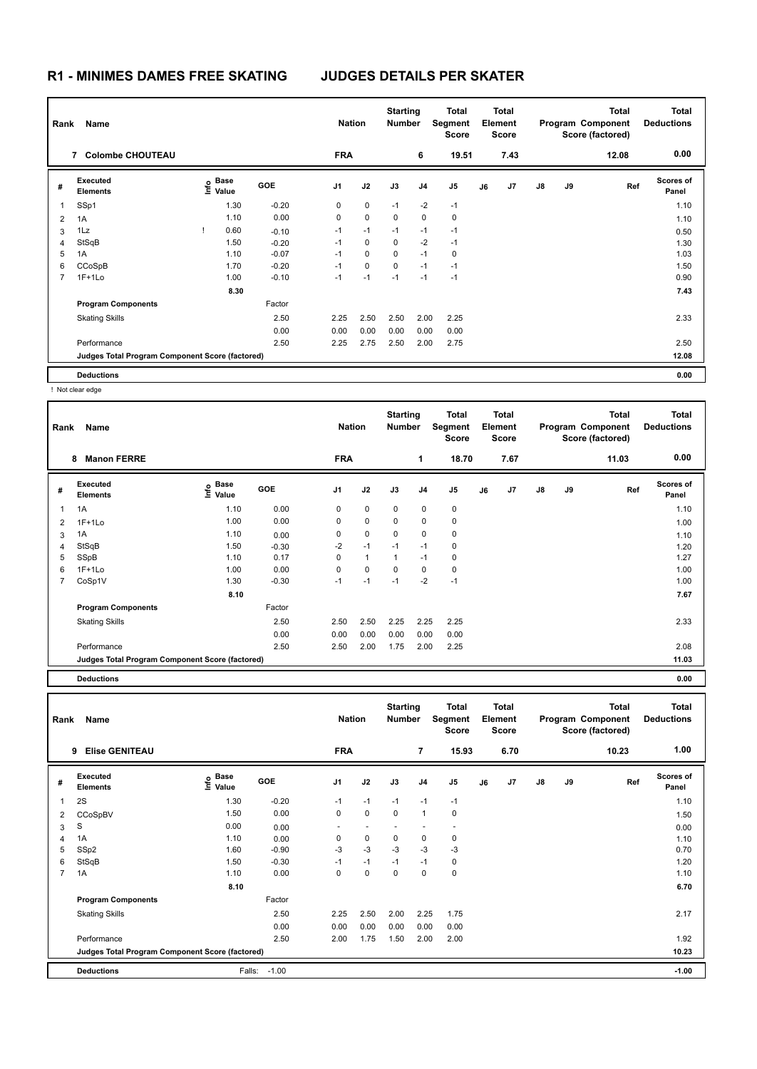| Rank | Name                                            |                   | <b>Nation</b> |             | <b>Starting</b><br>Number |          | <b>Total</b><br>Segment<br><b>Score</b> |       | <b>Total</b><br>Element<br><b>Score</b> |                |               | <b>Total</b><br>Program Component<br>Score (factored) | <b>Total</b><br><b>Deductions</b> |                           |
|------|-------------------------------------------------|-------------------|---------------|-------------|---------------------------|----------|-----------------------------------------|-------|-----------------------------------------|----------------|---------------|-------------------------------------------------------|-----------------------------------|---------------------------|
|      | <b>Colombe CHOUTEAU</b><br>$\overline{7}$       |                   |               | <b>FRA</b>  |                           |          | 6                                       | 19.51 |                                         | 7.43           |               |                                                       | 12.08                             | 0.00                      |
| #    | Executed<br><b>Elements</b>                     | e Base<br>⊑ Value | <b>GOE</b>    | J1          | J2                        | J3       | J <sub>4</sub>                          | J5    | J6                                      | J <sub>7</sub> | $\mathsf{J}8$ | J9                                                    | Ref                               | <b>Scores of</b><br>Panel |
| 1    | SSp1                                            | 1.30              | $-0.20$       | 0           | 0                         | $-1$     | $-2$                                    | $-1$  |                                         |                |               |                                                       |                                   | 1.10                      |
| 2    | 1A                                              | 1.10              | 0.00          | $\mathbf 0$ | $\mathbf 0$               | $\Omega$ | 0                                       | 0     |                                         |                |               |                                                       |                                   | 1.10                      |
| 3    | 1Lz                                             | 0.60              | $-0.10$       | $-1$        | $-1$                      | $-1$     | $-1$                                    | $-1$  |                                         |                |               |                                                       |                                   | 0.50                      |
| 4    | StSqB                                           | 1.50              | $-0.20$       | $-1$        | 0                         | 0        | $-2$                                    | $-1$  |                                         |                |               |                                                       |                                   | 1.30                      |
| 5    | 1A                                              | 1.10              | $-0.07$       | $-1$        | $\mathbf 0$               | $\Omega$ | $-1$                                    | 0     |                                         |                |               |                                                       |                                   | 1.03                      |
| 6    | CCoSpB                                          | 1.70              | $-0.20$       | $-1$        | $\mathbf 0$               | $\Omega$ | $-1$                                    | $-1$  |                                         |                |               |                                                       |                                   | 1.50                      |
|      | $1F+1Lo$                                        | 1.00              | $-0.10$       | $-1$        | $-1$                      | $-1$     | $-1$                                    | $-1$  |                                         |                |               |                                                       |                                   | 0.90                      |
|      |                                                 | 8.30              |               |             |                           |          |                                         |       |                                         |                |               |                                                       |                                   | 7.43                      |
|      | <b>Program Components</b>                       |                   | Factor        |             |                           |          |                                         |       |                                         |                |               |                                                       |                                   |                           |
|      | <b>Skating Skills</b>                           |                   | 2.50          | 2.25        | 2.50                      | 2.50     | 2.00                                    | 2.25  |                                         |                |               |                                                       |                                   | 2.33                      |
|      |                                                 |                   | 0.00          | 0.00        | 0.00                      | 0.00     | 0.00                                    | 0.00  |                                         |                |               |                                                       |                                   |                           |
|      | Performance                                     |                   | 2.50          | 2.25        | 2.75                      | 2.50     | 2.00                                    | 2.75  |                                         |                |               |                                                       |                                   | 2.50                      |
|      | Judges Total Program Component Score (factored) |                   |               |             |                           |          |                                         |       |                                         |                |               |                                                       |                                   | 12.08                     |
|      | <b>Deductions</b>                               |                   |               |             |                           |          |                                         |       |                                         |                |               |                                                       |                                   | 0.00                      |

! Not clear edge

| Rank           | Name                                            | <b>Nation</b>                    |            | <b>Starting</b><br><b>Number</b> |              | Total<br>Segment<br><b>Score</b> |                | <b>Total</b><br>Element<br><b>Score</b> |    |                | <b>Total</b><br>Program Component<br>Score (factored) | <b>Total</b><br><b>Deductions</b> |       |                           |
|----------------|-------------------------------------------------|----------------------------------|------------|----------------------------------|--------------|----------------------------------|----------------|-----------------------------------------|----|----------------|-------------------------------------------------------|-----------------------------------|-------|---------------------------|
|                | <b>Manon FERRE</b><br>8                         |                                  |            | <b>FRA</b>                       |              |                                  | $\mathbf 1$    | 18.70                                   |    | 7.67           |                                                       |                                   | 11.03 | 0.00                      |
| #              | Executed<br><b>Elements</b>                     | <b>Base</b><br>e Base<br>⊆ Value | <b>GOE</b> | J1                               | J2           | J3                               | J <sub>4</sub> | J <sub>5</sub>                          | J6 | J <sub>7</sub> | $\mathsf{J}8$                                         | J9                                | Ref   | <b>Scores of</b><br>Panel |
| 1              | 1A                                              | 1.10                             | 0.00       | 0                                | $\mathbf 0$  | $\mathbf 0$                      | $\mathbf 0$    | $\mathbf 0$                             |    |                |                                                       |                                   |       | 1.10                      |
| $\overline{2}$ | $1F+1Lo$                                        | 1.00                             | 0.00       | 0                                | $\mathbf 0$  | 0                                | 0              | $\pmb{0}$                               |    |                |                                                       |                                   |       | 1.00                      |
| 3              | 1A                                              | 1.10                             | 0.00       | 0                                | 0            | $\mathbf 0$                      | 0              | 0                                       |    |                |                                                       |                                   |       | 1.10                      |
| 4              | StSqB                                           | 1.50                             | $-0.30$    | $-2$                             | $-1$         | $-1$                             | $-1$           | $\mathbf 0$                             |    |                |                                                       |                                   |       | 1.20                      |
| 5              | SSpB                                            | 1.10                             | 0.17       | 0                                | $\mathbf{1}$ | $\mathbf{1}$                     | $-1$           | 0                                       |    |                |                                                       |                                   |       | 1.27                      |
| 6              | $1F+1Lo$                                        | 1.00                             | 0.00       | 0                                | $\mathbf 0$  | $\mathbf 0$                      | 0              | 0                                       |    |                |                                                       |                                   |       | 1.00                      |
| $\overline{7}$ | CoSp1V                                          | 1.30                             | $-0.30$    | $-1$                             | $-1$         | $-1$                             | $-2$           | $-1$                                    |    |                |                                                       |                                   |       | 1.00                      |
|                |                                                 | 8.10                             |            |                                  |              |                                  |                |                                         |    |                |                                                       |                                   |       | 7.67                      |
|                | <b>Program Components</b>                       |                                  | Factor     |                                  |              |                                  |                |                                         |    |                |                                                       |                                   |       |                           |
|                | <b>Skating Skills</b>                           |                                  | 2.50       | 2.50                             | 2.50         | 2.25                             | 2.25           | 2.25                                    |    |                |                                                       |                                   |       | 2.33                      |
|                |                                                 |                                  | 0.00       | 0.00                             | 0.00         | 0.00                             | 0.00           | 0.00                                    |    |                |                                                       |                                   |       |                           |
|                | Performance                                     |                                  | 2.50       | 2.50                             | 2.00         | 1.75                             | 2.00           | 2.25                                    |    |                |                                                       |                                   |       | 2.08                      |
|                | Judges Total Program Component Score (factored) |                                  |            |                                  |              |                                  |                |                                         |    |                |                                                       |                                   |       | 11.03                     |
|                | <b>Deductions</b>                               |                                  |            |                                  |              |                                  |                |                                         |    |                |                                                       |                                   |       | 0.00                      |

| Rank           | Name                                            | <b>Nation</b>                               |         | <b>Starting</b><br><b>Number</b> |             | Total<br>Segment<br><b>Score</b> |                | Total<br>Element<br><b>Score</b> |    |      | <b>Total</b><br>Program Component<br>Score (factored) | Total<br><b>Deductions</b> |       |                           |
|----------------|-------------------------------------------------|---------------------------------------------|---------|----------------------------------|-------------|----------------------------------|----------------|----------------------------------|----|------|-------------------------------------------------------|----------------------------|-------|---------------------------|
|                | <b>Elise GENITEAU</b><br>9                      |                                             |         | <b>FRA</b>                       |             |                                  | 7              | 15.93                            |    | 6.70 |                                                       |                            | 10.23 | 1.00                      |
| #              | Executed<br><b>Elements</b>                     | <b>Base</b><br>e <sup>Base</sup><br>⊆ Value | GOE     | J <sub>1</sub>                   | J2          | J3                               | J <sub>4</sub> | J <sub>5</sub>                   | J6 | J7   | $\mathsf{J}8$                                         | J9                         | Ref   | <b>Scores of</b><br>Panel |
| $\overline{1}$ | 2S                                              | 1.30                                        | $-0.20$ | $-1$                             | $-1$        | $-1$                             | $-1$           | $-1$                             |    |      |                                                       |                            |       | 1.10                      |
| 2              | CCoSpBV                                         | 1.50                                        | 0.00    | 0                                | $\mathbf 0$ | 0                                | $\overline{1}$ | 0                                |    |      |                                                       |                            |       | 1.50                      |
| 3              | S                                               | 0.00                                        | 0.00    | $\overline{\phantom{0}}$         | ٠           |                                  |                | $\overline{\phantom{a}}$         |    |      |                                                       |                            |       | 0.00                      |
| 4              | 1A                                              | 1.10                                        | 0.00    | 0                                | $\pmb{0}$   | 0                                | 0              | 0                                |    |      |                                                       |                            |       | 1.10                      |
| 5              | SSp2                                            | 1.60                                        | $-0.90$ | -3                               | $-3$        | $-3$                             | $-3$           | -3                               |    |      |                                                       |                            |       | 0.70                      |
| 6              | StSqB                                           | 1.50                                        | $-0.30$ | $-1$                             | $-1$        | $-1$                             | $-1$           | 0                                |    |      |                                                       |                            |       | 1.20                      |
| $\overline{7}$ | 1A                                              | 1.10                                        | 0.00    | $\Omega$                         | $\mathbf 0$ | $\mathbf 0$                      | 0              | $\pmb{0}$                        |    |      |                                                       |                            |       | 1.10                      |
|                |                                                 | 8.10                                        |         |                                  |             |                                  |                |                                  |    |      |                                                       |                            |       | 6.70                      |
|                | <b>Program Components</b>                       |                                             | Factor  |                                  |             |                                  |                |                                  |    |      |                                                       |                            |       |                           |
|                | <b>Skating Skills</b>                           |                                             | 2.50    | 2.25                             | 2.50        | 2.00                             | 2.25           | 1.75                             |    |      |                                                       |                            |       | 2.17                      |
|                |                                                 |                                             | 0.00    | 0.00                             | 0.00        | 0.00                             | 0.00           | 0.00                             |    |      |                                                       |                            |       |                           |
|                | Performance                                     |                                             | 2.50    | 2.00                             | 1.75        | 1.50                             | 2.00           | 2.00                             |    |      |                                                       |                            |       | 1.92                      |
|                | Judges Total Program Component Score (factored) |                                             |         |                                  |             |                                  |                |                                  |    |      |                                                       |                            |       | 10.23                     |
|                | <b>Deductions</b>                               | Falls:                                      | $-1.00$ |                                  |             |                                  |                |                                  |    |      |                                                       |                            |       | $-1.00$                   |